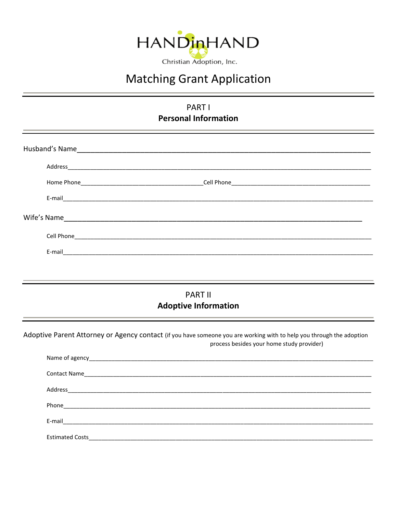

# **Matching Grant Application**

| <b>PARTI</b><br><b>Personal Information</b> |                                                                                                                                                                    |  |  |  |
|---------------------------------------------|--------------------------------------------------------------------------------------------------------------------------------------------------------------------|--|--|--|
|                                             |                                                                                                                                                                    |  |  |  |
|                                             |                                                                                                                                                                    |  |  |  |
|                                             |                                                                                                                                                                    |  |  |  |
|                                             |                                                                                                                                                                    |  |  |  |
|                                             |                                                                                                                                                                    |  |  |  |
|                                             |                                                                                                                                                                    |  |  |  |
|                                             |                                                                                                                                                                    |  |  |  |
|                                             |                                                                                                                                                                    |  |  |  |
|                                             | <b>PART II</b>                                                                                                                                                     |  |  |  |
|                                             | <b>Adoptive Information</b>                                                                                                                                        |  |  |  |
|                                             | Adoptive Parent Attorney or Agency contact (if you have someone you are working with to help you through the adoption<br>process besides your home study provider) |  |  |  |
|                                             |                                                                                                                                                                    |  |  |  |
|                                             |                                                                                                                                                                    |  |  |  |
|                                             |                                                                                                                                                                    |  |  |  |
|                                             |                                                                                                                                                                    |  |  |  |
|                                             |                                                                                                                                                                    |  |  |  |
| <b>Estimated Costs</b>                      |                                                                                                                                                                    |  |  |  |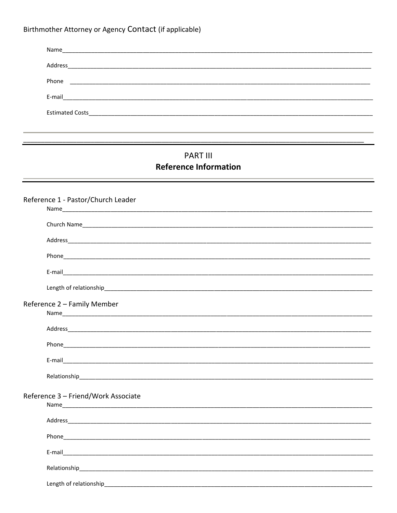### Birthmother Attorney or Agency Contact (if applicable)

| Address                |  |  |
|------------------------|--|--|
| Phone                  |  |  |
|                        |  |  |
| <b>Estimated Costs</b> |  |  |
|                        |  |  |

## PART III **Reference Information**

| Reference 1 - Pastor/Church Leader                                                                                                                                                                                            |
|-------------------------------------------------------------------------------------------------------------------------------------------------------------------------------------------------------------------------------|
|                                                                                                                                                                                                                               |
|                                                                                                                                                                                                                               |
|                                                                                                                                                                                                                               |
|                                                                                                                                                                                                                               |
|                                                                                                                                                                                                                               |
| Reference 2 - Family Member                                                                                                                                                                                                   |
|                                                                                                                                                                                                                               |
|                                                                                                                                                                                                                               |
|                                                                                                                                                                                                                               |
|                                                                                                                                                                                                                               |
|                                                                                                                                                                                                                               |
|                                                                                                                                                                                                                               |
| Reference 3 - Friend/Work Associate                                                                                                                                                                                           |
|                                                                                                                                                                                                                               |
|                                                                                                                                                                                                                               |
|                                                                                                                                                                                                                               |
|                                                                                                                                                                                                                               |
| Relationship and the contract of the contract of the contract of the contract of the contract of the contract of the contract of the contract of the contract of the contract of the contract of the contract of the contract |
| Length of relationship and the contract of the contract of the contract of the contract of the contract of the                                                                                                                |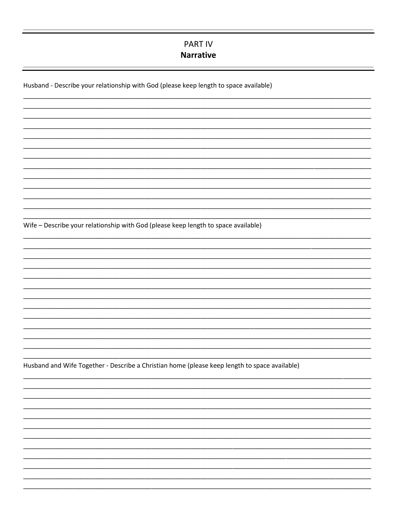# **PARTIV Narrative**

Husband - Describe your relationship with God (please keep length to space available)

Wife - Describe your relationship with God (please keep length to space available)

Husband and Wife Together - Describe a Christian home (please keep length to space available)